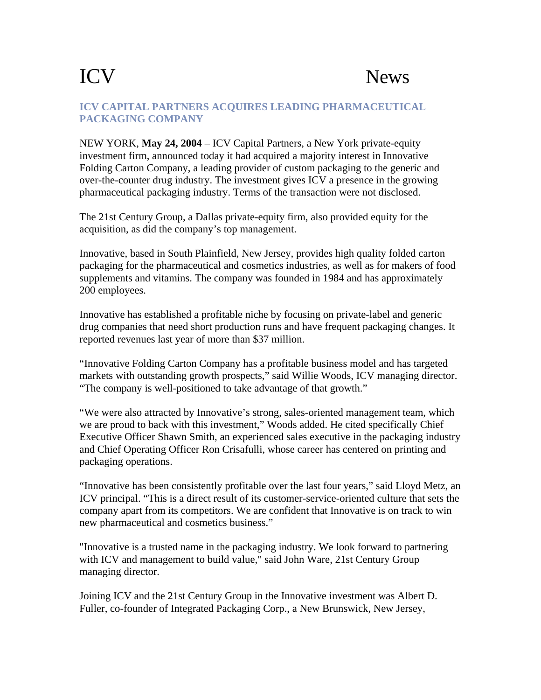## ICV News

## **ICV CAPITAL PARTNERS ACQUIRES LEADING PHARMACEUTICAL PACKAGING COMPANY**

NEW YORK, **May 24, 2004** – ICV Capital Partners, a New York private-equity investment firm, announced today it had acquired a majority interest in Innovative Folding Carton Company, a leading provider of custom packaging to the generic and over-the-counter drug industry. The investment gives ICV a presence in the growing pharmaceutical packaging industry. Terms of the transaction were not disclosed.

The 21st Century Group, a Dallas private-equity firm, also provided equity for the acquisition, as did the company's top management.

Innovative, based in South Plainfield, New Jersey, provides high quality folded carton packaging for the pharmaceutical and cosmetics industries, as well as for makers of food supplements and vitamins. The company was founded in 1984 and has approximately 200 employees.

Innovative has established a profitable niche by focusing on private-label and generic drug companies that need short production runs and have frequent packaging changes. It reported revenues last year of more than \$37 million.

"Innovative Folding Carton Company has a profitable business model and has targeted markets with outstanding growth prospects," said Willie Woods, ICV managing director. "The company is well-positioned to take advantage of that growth."

"We were also attracted by Innovative's strong, sales-oriented management team, which we are proud to back with this investment," Woods added. He cited specifically Chief Executive Officer Shawn Smith, an experienced sales executive in the packaging industry and Chief Operating Officer Ron Crisafulli, whose career has centered on printing and packaging operations.

"Innovative has been consistently profitable over the last four years," said Lloyd Metz, an ICV principal. "This is a direct result of its customer-service-oriented culture that sets the company apart from its competitors. We are confident that Innovative is on track to win new pharmaceutical and cosmetics business."

"Innovative is a trusted name in the packaging industry. We look forward to partnering with ICV and management to build value," said John Ware, 21st Century Group managing director.

Joining ICV and the 21st Century Group in the Innovative investment was Albert D. Fuller, co-founder of Integrated Packaging Corp., a New Brunswick, New Jersey,